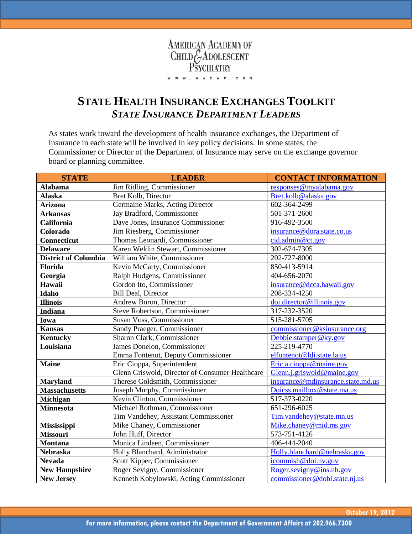

## **STATE HEALTH INSURANCE EXCHANGES TOOLKIT** *STATE INSURANCE DEPARTMENT LEADERS*

As states work toward the development of health insurance exchanges, the Department of Insurance in each state will be involved in key policy decisions. In some states, the Commissioner or Director of the Department of Insurance may serve on the exchange governor board or planning committee.

| <b>STATE</b>                | <b>LEADER</b>                                   | <b>CONTACT INFORMATION</b>        |
|-----------------------------|-------------------------------------------------|-----------------------------------|
| <b>Alabama</b>              | Jim Ridling, Commissioner                       | responses@myalabama.gov           |
| <b>Alaska</b>               | Bret Kolb, Director                             | Bret.kolb@alaska.gov              |
| <b>Arizona</b>              | Germaine Marks, Acting Director                 | 602-364-2499                      |
| <b>Arkansas</b>             | Jay Bradford, Commissioner                      | 501-371-2600                      |
| California                  | Dave Jones, Insurance Commissioner              | 916-492-3500                      |
| Colorado                    | Jim Riesberg, Commissioner                      | insurance@dora.state.co.us        |
| Connecticut                 | Thomas Leonardi, Commissioner                   | cid.admin@ct.gov                  |
| <b>Delaware</b>             | Karen Weldin Stewart, Commissioner              | 302-674-7305                      |
| <b>District of Columbia</b> | William White, Commissioner                     | 202-727-8000                      |
| Florida                     | Kevin McCarty, Commissioner                     | 850-413-5914                      |
| Georgia                     | Ralph Hudgens, Commissioner                     | 404-656-2070                      |
| Hawaii                      | Gordon Ito, Commissioner                        | insurance@dcca.hawaii.gov         |
| Idaho                       | <b>Bill Deal, Director</b>                      | 208-334-4250                      |
| <b>Illinois</b>             | Andrew Boron, Director                          | doi.director@illinois.gov         |
| <b>Indiana</b>              | Steve Robertson, Commissioner                   | 317-232-3520                      |
| Iowa                        | Susan Voss, Commissioner                        | 515-281-5705                      |
| <b>Kansas</b>               | Sandy Praeger, Commissioner                     | commissioner@ksinsurance.org      |
| <b>Kentucky</b>             | Sharon Clark, Commissioner                      | Debbie.stamper@ky.gov             |
| Louisiana                   | James Donelon, Commissioner                     | 225-219-4770                      |
|                             | Emma Fontenot, Deputy Commissioner              | elfontenot@ldi.state.la.us        |
| <b>Maine</b>                | Eric Cioppa, Superintendent                     | Eric.a.cioppa@maine.gov           |
|                             | Glenn Griswold, Director of Consumer Healthcare | Glenn.j.griswold@maine.gov        |
| <b>Maryland</b>             | Therese Goldsmith, Commissioner                 | insurance@mdinsurance.state.md.us |
| <b>Massachusetts</b>        | Joseph Murphy, Commissioner                     | Doicss.mailbox@state.ma.us        |
| Michigan                    | Kevin Clinton, Commissioner                     | 517-373-0220                      |
| <b>Minnesota</b>            | Michael Rothman, Commissioner                   | 651-296-6025                      |
|                             | Tim Vandehey, Assistant Commissioner            | Tim.vandehey@state.mn.us          |
| <b>Mississippi</b>          | Mike Chaney, Commissioner                       | Mike.chaney@mid.ms.gov            |
| <b>Missouri</b>             | John Huff, Director                             | 573-751-4126                      |
| <b>Montana</b>              | Monica Lindeen, Commissioner                    | 406-444-2040                      |
| <b>Nebraska</b>             | Holly Blanchard, Administrator                  | Holly.blanchard@nebraska.gov      |
| <b>Nevada</b>               | Scott Kipper, Commissioner                      | icommish@doi.nv.gov               |
| <b>New Hampshire</b>        | Roger Sevigny, Commissioner                     | Roger.sevigny@ins.nh.gov          |
| <b>New Jersey</b>           | Kenneth Kobylowski, Acting Commissioner         | commissioner@dobi.state.nj.us     |